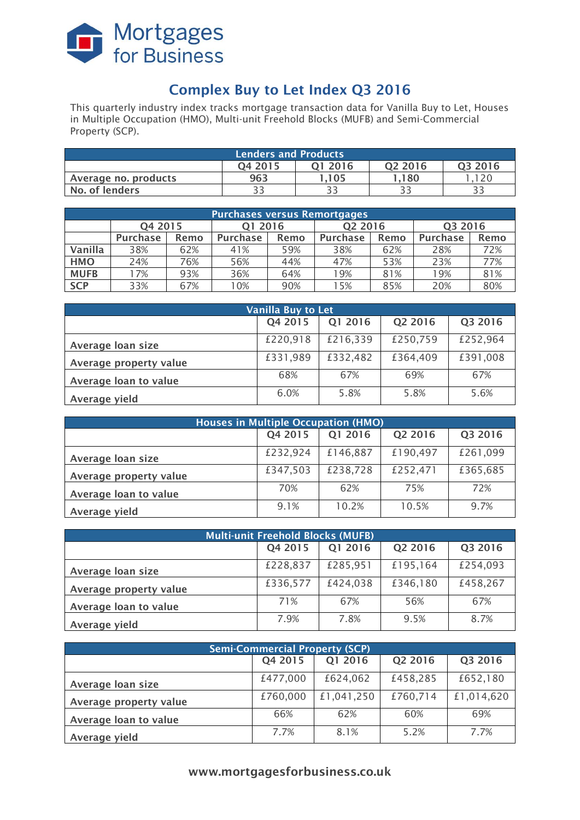

# **Complex Buy to Let Index Q3 2016**

This quarterly industry index tracks mortgage transaction data for Vanilla Buy to Let, Houses in Multiple Occupation (HMO), Multi-unit Freehold Blocks (MUFB) and Semi-Commercial Property (SCP).

| <b>Lenders and Products</b>                          |     |      |        |     |  |  |  |
|------------------------------------------------------|-----|------|--------|-----|--|--|--|
| Q3 2016<br>O <sub>2</sub> 2016<br>04 2015<br>01 2016 |     |      |        |     |  |  |  |
| Average no. products                                 | 963 | .105 | l .180 | 120 |  |  |  |
| No. of lenders                                       |     | ころ   |        |     |  |  |  |

| <b>Purchases versus Remortgages</b> |                 |      |                 |      |                     |      |                 |      |
|-------------------------------------|-----------------|------|-----------------|------|---------------------|------|-----------------|------|
|                                     | Q4 2015         |      | 01 2016         |      | Q <sub>2</sub> 2016 |      | Q3 2016         |      |
|                                     | <b>Purchase</b> | Remo | <b>Purchase</b> | Remo | <b>Purchase</b>     | Remo | <b>Purchase</b> | Remo |
| Vanilla                             | 38%             | 62%  | 41%             | 59%  | 38%                 | 62%  | 28%             | 72%  |
| <b>HMO</b>                          | 24%             | 76%  | 56%             | 44%  | 47%                 | 53%  | 23%             | 77%  |
| <b>MUFB</b>                         | 17%             | 93%  | 36%             | 64%  | 19%                 | 81%  | 19%             | 81%  |
| <b>SCP</b>                          | 33%             | 67%  | 10%             | 90%  | 15%                 | 85%  | 20%             | 80%  |

| <b>Vanilla Buy to Let</b> |          |          |          |          |  |  |
|---------------------------|----------|----------|----------|----------|--|--|
|                           | Q4 2015  | Q1 2016  | Q2 2016  | Q3 2016  |  |  |
| Average loan size         | £220,918 | £216,339 | £250,759 | £252,964 |  |  |
| Average property value    | £331,989 | £332,482 | £364,409 | £391,008 |  |  |
| Average loan to value     | 68%      | 67%      | 69%      | 67%      |  |  |
| Average yield             | 6.0%     | 5.8%     | 5.8%     | 5.6%     |  |  |

| <b>Houses in Multiple Occupation (HMO)</b> |          |          |          |          |  |  |
|--------------------------------------------|----------|----------|----------|----------|--|--|
|                                            | Q4 2015  | Q1 2016  | Q2 2016  | Q3 2016  |  |  |
| Average loan size                          | £232,924 | £146,887 | £190,497 | £261,099 |  |  |
| Average property value                     | £347,503 | £238,728 | £252,471 | £365,685 |  |  |
| Average loan to value                      | 70%      | 62%      | 75%      | 72%      |  |  |
| Average yield                              | 9.1%     | 10.2%    | 10.5%    | 9.7%     |  |  |

| <b>Multi-unit Freehold Blocks (MUFB)</b> |          |          |          |          |  |  |
|------------------------------------------|----------|----------|----------|----------|--|--|
|                                          | Q4 2015  | Q1 2016  | Q2 2016  | Q3 2016  |  |  |
| Average loan size                        | £228,837 | £285,951 | £195,164 | £254,093 |  |  |
| Average property value                   | £336,577 | £424,038 | £346,180 | £458,267 |  |  |
| Average loan to value                    | 71%      | 67%      | 56%      | 67%      |  |  |
| Average yield                            | 7.9%     | 7.8%     | 9.5%     | 8.7%     |  |  |

| <b>Semi-Commercial Property (SCP)</b> |          |            |          |            |  |  |
|---------------------------------------|----------|------------|----------|------------|--|--|
|                                       | Q4 2015  | Q1 2016    | Q2 2016  | Q3 2016    |  |  |
| Average loan size                     | £477,000 | £624,062   | £458,285 | £652,180   |  |  |
| Average property value                | £760,000 | £1,041,250 | £760,714 | £1,014,620 |  |  |
| Average loan to value                 | 66%      | 62%        | 60%      | 69%        |  |  |
| Average yield                         | 7.7%     | 8.1%       | 5.2%     | 7.7%       |  |  |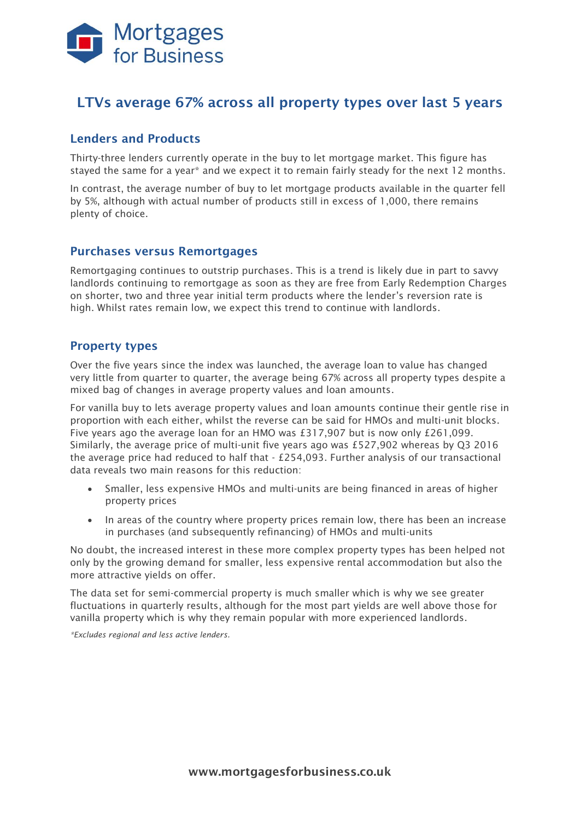

## **LTVs average 67% across all property types over last 5 years**

### **Lenders and Products**

Thirty-three lenders currently operate in the buy to let mortgage market. This figure has stayed the same for a year\* and we expect it to remain fairly steady for the next 12 months.

In contrast, the average number of buy to let mortgage products available in the quarter fell by 5%, although with actual number of products still in excess of 1,000, there remains plenty of choice.

#### **Purchases versus Remortgages**

Remortgaging continues to outstrip purchases. This is a trend is likely due in part to savvy landlords continuing to remortgage as soon as they are free from Early Redemption Charges on shorter, two and three year initial term products where the lender's reversion rate is high. Whilst rates remain low, we expect this trend to continue with landlords.

### **Property types**

Over the five years since the index was launched, the average loan to value has changed very little from quarter to quarter, the average being 67% across all property types despite a mixed bag of changes in average property values and loan amounts.

For vanilla buy to lets average property values and loan amounts continue their gentle rise in proportion with each either, whilst the reverse can be said for HMOs and multi-unit blocks. Five years ago the average loan for an HMO was £317,907 but is now only £261,099. Similarly, the average price of multi-unit five years ago was £527,902 whereas by Q3 2016 the average price had reduced to half that - £254,093. Further analysis of our transactional data reveals two main reasons for this reduction:

- Smaller, less expensive HMOs and multi-units are being financed in areas of higher property prices
- In areas of the country where property prices remain low, there has been an increase in purchases (and subsequently refinancing) of HMOs and multi-units

No doubt, the increased interest in these more complex property types has been helped not only by the growing demand for smaller, less expensive rental accommodation but also the more attractive yields on offer.

The data set for semi-commercial property is much smaller which is why we see greater fluctuations in quarterly results, although for the most part yields are well above those for vanilla property which is why they remain popular with more experienced landlords.

*\*Excludes regional and less active lenders.*